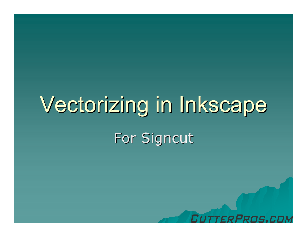# Vectorizing in Inkscape For Signcut

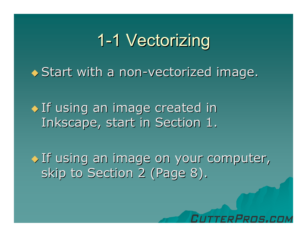#### 1-1 Vectorizing

◆ Start with a non-vectorized image.

If using an image created in Inkscape, start in Section 1.

If using an image on your computer, skip to Section 2 (Page 8).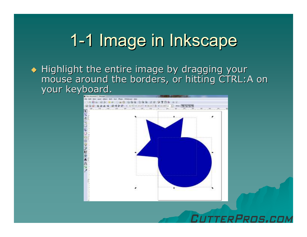#### 1-1 Image in Inkscape

Highlight the entire image by dragging your<br>May be a stayind the berders or hitting CTPL: A mouse around the borders, or hitting CTRL:A on your keyboard.



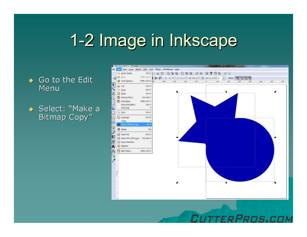#### 1-2 Image in Inkscape

 $\leftrightarrow$  Go to the Edit Menu

◆ Select: "Make a Bitmap Copy"



FRPRNS.COM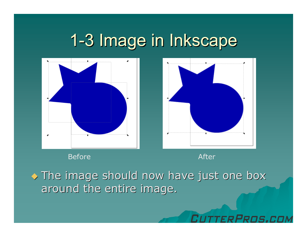#### 1-3 Image in Inkscape



Before After After After After After After After After After After After After After After After After After A<br>Expansion After After After After After After After After After After After After After After After After After

. The image should now have just one box around the entire image.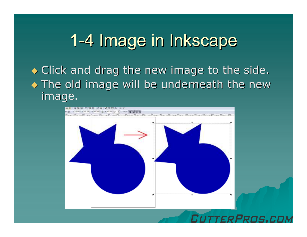#### 1-4 Image in Inkscape

Click and drag the new image to the side. • The old image will be underneath the new image.

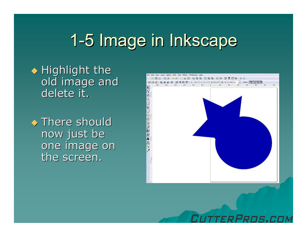## 1-5 Image in Inkscape

Highlight the old image and delete it.

◆ There should<br>Dow just be now just be one image on the screen.



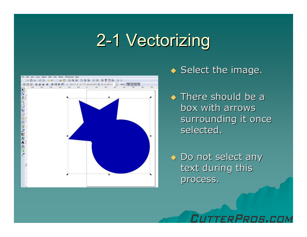#### 2-1 Vectorizing



#### $\bullet$  Select the image.

- ◆ There should be a box with arrows surrounding it once selected.
- ◆ Do not select any text during this process.

Pens.r.n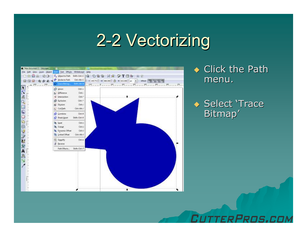#### 2-2 Vectorizing



◆ Click the Path menu.

◆ Select 'Trace Bitmap'

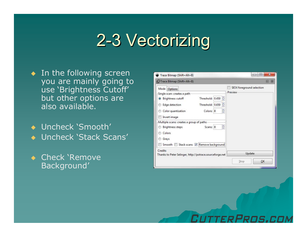#### 2-3 Vectorizing

- $\bullet$  In the following screen you are mainly going to use 'Brightness Cutoff'but other options are also available.
- ◆ Uncheck 'Smooth' ◆ Uncheck 'Stack Scans'
- $\bullet$  Check 'Remove Background'

| Trace Bitmap (Shift+Alt+B)                                                                                                                 |                                                   |  |                                       |                                      | E<br>$\overline{\mathbf{x}}$ |
|--------------------------------------------------------------------------------------------------------------------------------------------|---------------------------------------------------|--|---------------------------------------|--------------------------------------|------------------------------|
| Mode<br>Options<br>Single scan: creates a path-<br>Brightness cutoff<br>$\bullet$<br>Edge detection<br>Color quantization                  | Threshold: 0.450<br>Threshold: 0.650<br>Colors: 8 |  | $\frac{1}{7}$<br>$\frac{1}{\pi}$<br>÷ | SIOX foreground selection<br>Preview |                              |
| Invert image<br>Multiple scans: creates a group of paths-<br>Brightness steps<br>Colors<br>Grays<br>Smooth Stack scans V Remove background | Scans: 8                                          |  | $\frac{1}{\tau}$                      |                                      |                              |
| Credits<br>Thanks to Peter Selinger, http://potrace.sourceforge.net                                                                        |                                                   |  | Update                                |                                      |                              |

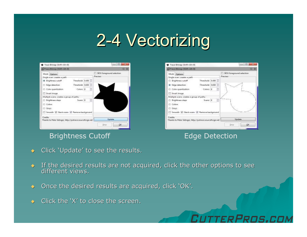#### 2-4 Vectorizing

|                                                                     |  |                                           | SIOX foreground selection:                                      |
|---------------------------------------------------------------------|--|-------------------------------------------|-----------------------------------------------------------------|
|                                                                     |  |                                           | Pressures.                                                      |
|                                                                     |  |                                           |                                                                 |
|                                                                     |  | B                                         |                                                                 |
|                                                                     |  | ţ                                         |                                                                 |
|                                                                     |  |                                           |                                                                 |
| Multiple scans creates a group of paths-                            |  |                                           |                                                                 |
|                                                                     |  | B                                         |                                                                 |
|                                                                     |  |                                           |                                                                 |
|                                                                     |  |                                           |                                                                 |
|                                                                     |  |                                           |                                                                 |
| Cradity<br>Thanks to Peter Selinger, http://potrace.sourceforge.net |  |                                           |                                                                 |
|                                                                     |  |                                           | Update                                                          |
|                                                                     |  | Threshold: 0.650<br>Colorsi B<br>Scann: B | Threshold: 0.450<br>Smooth (2) Stack scam (2) Remove background |

#### Brightness Cutoff **Edge Detection**

| Trace Bernap (Shift+AB+B)                                                                                                                                                                                                                                                                        | 旧                                              |  |
|--------------------------------------------------------------------------------------------------------------------------------------------------------------------------------------------------------------------------------------------------------------------------------------------------|------------------------------------------------|--|
| Mode Options<br>Single scan: creates a peth-<br>Threshold: 0.450<br>Brightness cutoff<br>B<br>Threshold: 0.650<br><b>B</b> Edge detection<br>ţ<br>C: Calor quantization.<br>Colorsi B<br>Invertimage<br>Multiple scans creates a group of paths-<br>÷<br>Scann: B<br>Brightness steps<br>Colors: | SIOX foreground selection:<br><b>President</b> |  |
| C Grays<br>Smooth (7) Stack ccam (7) Remove background                                                                                                                                                                                                                                           |                                                |  |
| Cradity<br>Thanks to Peter Selinger, http://potrace.sourceforge.net                                                                                                                                                                                                                              | Update                                         |  |

FRPROS.COI

- $\blacklozenge$ Click 'Update' to see the results.
- $\bullet$  If the desired results are not acquired, click the other options to see different views.
- $\blacklozenge$ Once the desired results are acquired, click 'OK'.
- $\blacklozenge$  Click the 'X' to close the screen.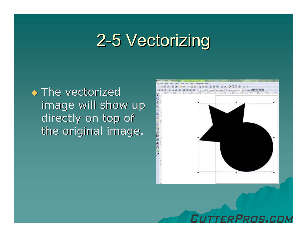#### 2-5 Vectorizing

◆ The vectorized image will show up directly on top of the original image.



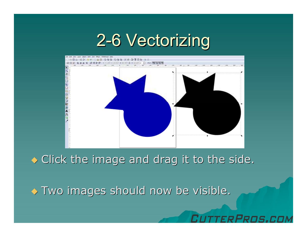#### 2-6 Vectorizing



 $\bullet$  Click the image and drag it to the side.

RPROS.CI

 $\leftrightarrow$  Two images should now be visible.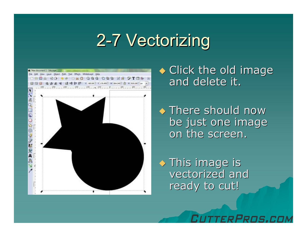#### 2-7 Vectorizing



Click the old image and delete it.

• There should now be just one image on the screen.

**This image is<br>Mostarized and** vectorized and<br>reach: te sut! ready to cut!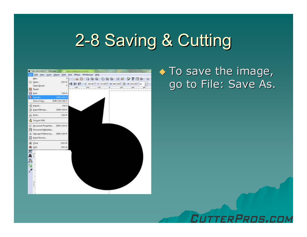#### 2-8 Saving & Cutting



#### • To save the image, go to File: Save As.

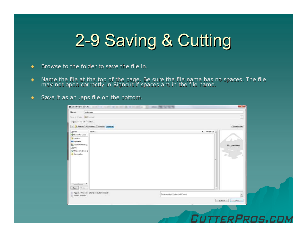### 2-9 Saving & Cutting

- $\blacklozenge$ Browse to the folder to save the file in.
- $\bullet$  Mame the file at the top of the page. Be sure the file name has no spaces. The file may not open correctly in Signcut if spaces are in the file name.
- Save it as an .eps file on the bottom.

| Name:                                | bester.eps                              |                                 |            |                             |
|--------------------------------------|-----------------------------------------|---------------------------------|------------|-----------------------------|
| Sove in folders <b>B</b> Pictures    |                                         |                                 |            | $\sim$<br>-                 |
| El Browse for other folders          |                                         |                                 |            |                             |
|                                      | A ASharon Documents Tutonals Pictures   |                                 |            | Create Falder               |
| Places<br>Recently Used              | Name                                    |                                 | · Modified |                             |
| <b>R. Sharon</b><br><b>Desktop</b>   |                                         |                                 |            |                             |
| <b>EL TELOSTOWED (C)</b>             |                                         |                                 |            | No preview                  |
| 00<<br>Fill Network Drive G          |                                         |                                 |            |                             |
| $1 - 1 - 1$<br>$\Delta dd$<br>Hemove |                                         |                                 |            |                             |
|                                      | Append filename extension automatically | Encapsulated Postscript (".eps) |            | $\mathcal{F}_{\mathcal{F}}$ |
| E Enable preview                     |                                         |                                 | Cancel     | Seve                        |
|                                      |                                         |                                 |            |                             |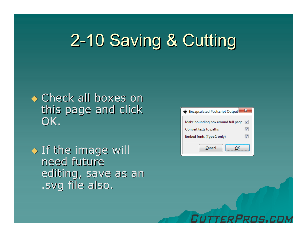#### 2-10 Saving & Cutting



If the image will need future editing, save as an .svg file also.



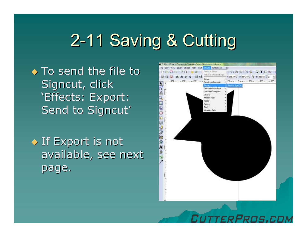#### 2-11 Saving & Cutting

◆ To send the file to Signcut, click 'Effects: Export: Send to Signcut'

◆ If Export is not available, see next page.

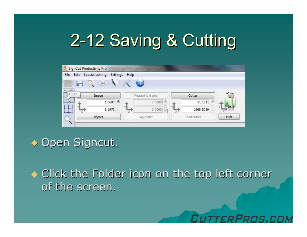## 2-12 Saving & Cutting

| Ü<br>SignCut Productivity Pro |                                    |            |                 |             |                        |        |
|-------------------------------|------------------------------------|------------|-----------------|-------------|------------------------|--------|
| File<br>Edit                  | <b>Special cutting</b><br>Settings | Help       |                 |             |                        |        |
| Œ<br>111111111                |                                    |            |                 |             |                        |        |
| Open                          | Image                              |            | Measuring frame |             | Cutter                 | 90 deg |
|                               | $1.6686$ $\odot$                   |            | 0.0000          |             | 51.1811 <sup>(0)</sup> |        |
| ----                          | 5.1973                             |            | 0.0000          |             | 1968.5039              |        |
| Q                             | Import                             | Jog cutter |                 | Read cutter |                        | inch   |
|                               |                                    |            |                 |             |                        |        |

 $\bullet$  Open Signcut.

◆ Click the Folder icon on the top left corner of the screen.

Pong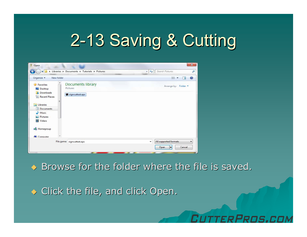## 2-13 Saving & Cutting

| A<br>Open                                                                                                                                                                                |                                                         | $\mathbf{x}$                                                                        |
|------------------------------------------------------------------------------------------------------------------------------------------------------------------------------------------|---------------------------------------------------------|-------------------------------------------------------------------------------------|
| $\Rightarrow$                                                                                                                                                                            | In Libraries > Documents > Tutorials > Pictures         | Search Pictures<br>$+$<br>٠<br>٩                                                    |
| Organize -<br>New folder                                                                                                                                                                 |                                                         | $\odot$<br>肆 ▼<br>市間                                                                |
| <b>Favorites</b><br>Desktop<br>肮<br>Downloads<br><b>Recent Places</b><br>Ξ<br>Ē.<br>Libraries<br>T)<br>Documents<br>Music<br>Pictures<br>Videos<br><b>Homegroup</b><br><b>L</b> Computer | <b>Documents library</b><br>Pictures<br>signcuttest.eps | Arrange by: Folder                                                                  |
|                                                                                                                                                                                          | File name: signcuttest.eps                              | All supported formats<br>$\cdot$<br>▼<br>Cancel<br>Open<br>$\overline{\phantom{a}}$ |

 $\leftrightarrow$  Browse for the folder where the file is saved.

Pons ri

 $\bullet$  Click the file, and click Open.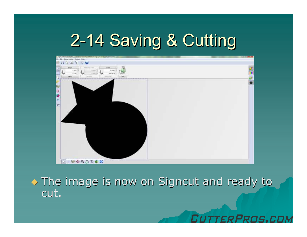#### 2-14 Saving & Cutting



• The image is now on Signcut and ready to cut.

PRNS.CO